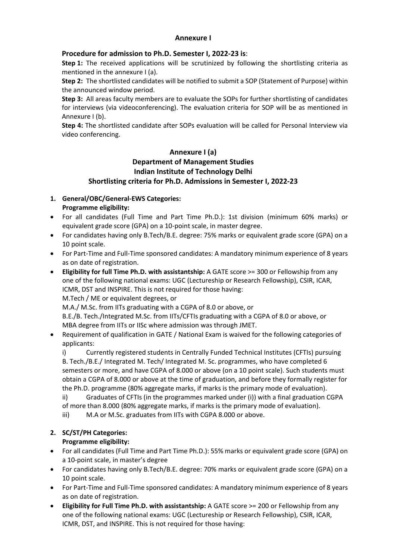### **Annexure I**

### **Procedure for admission to Ph.D. Semester I, 2022-23 is**:

**Step 1:** The received applications will be scrutinized by following the shortlisting criteria as mentioned in the annexure I (a).

**Step 2:** The shortlisted candidates will be notified to submit a SOP (Statement of Purpose) within the announced window period.

**Step 3:** All areas faculty members are to evaluate the SOPs for further shortlisting of candidates for interviews (via videoconferencing). The evaluation criteria for SOP will be as mentioned in Annexure I (b).

**Step 4:** The shortlisted candidate after SOPs evaluation will be called for Personal Interview via video conferencing.

# **Annexure I (a) Department of Management Studies Indian Institute of Technology Delhi Shortlisting criteria for Ph.D. Admissions in Semester I, 2022-23**

- **1. General/OBC/General-EWS Categories: Programme eligibility:**
- For all candidates (Full Time and Part Time Ph.D.): 1st division (minimum 60% marks) or equivalent grade score (GPA) on a 10-point scale, in master degree.
- For candidates having only B.Tech/B.E. degree: 75% marks or equivalent grade score (GPA) on a 10 point scale.
- For Part-Time and Full-Time sponsored candidates: A mandatory minimum experience of 8 years as on date of registration.
- **Eligibility for full Time Ph.D. with assistantship:** A GATE score >= 300 or Fellowship from any one of the following national exams: UGC (Lectureship or Research Fellowship), CSIR, ICAR, ICMR, DST and INSPIRE. This is not required for those having:

M.Tech / ME or equivalent degrees, or

M.A./ M.Sc. from IITs graduating with a CGPA of 8.0 or above, or

B.E./B. Tech./Integrated M.Sc. from IITs/CFTIs graduating with a CGPA of 8.0 or above, or MBA degree from IITs or IISc where admission was through JMET.

 Requirement of qualification in GATE / National Exam is waived for the following categories of applicants:

i) Currently registered students in Centrally Funded Technical Institutes (CFTIs) pursuing B. Tech./B.E./ Integrated M. Tech/ Integrated M. Sc. programmes, who have completed 6 semesters or more, and have CGPA of 8.000 or above (on a 10 point scale). Such students must obtain a CGPA of 8.000 or above at the time of graduation, and before they formally register for the Ph.D. programme (80% aggregate marks, if marks is the primary mode of evaluation).

ii) Graduates of CFTIs (in the programmes marked under (i)) with a final graduation CGPA

of more than 8.000 (80% aggregate marks, if marks is the primary mode of evaluation). iii) M.A or M.Sc. graduates from IITs with CGPA 8.000 or above.

# **2. SC/ST/PH Categories:**

## **Programme eligibility:**

- For all candidates (Full Time and Part Time Ph.D.): 55% marks or equivalent grade score (GPA) on a 10-point scale, in master's degree
- For candidates having only B.Tech/B.E. degree: 70% marks or equivalent grade score (GPA) on a 10 point scale.
- For Part-Time and Full-Time sponsored candidates: A mandatory minimum experience of 8 years as on date of registration.
- **Eligibility for Full Time Ph.D. with assistantship:** A GATE score >= 200 or Fellowship from any one of the following national exams: UGC (Lectureship or Research Fellowship), CSIR, ICAR, ICMR, DST, and INSPIRE. This is not required for those having: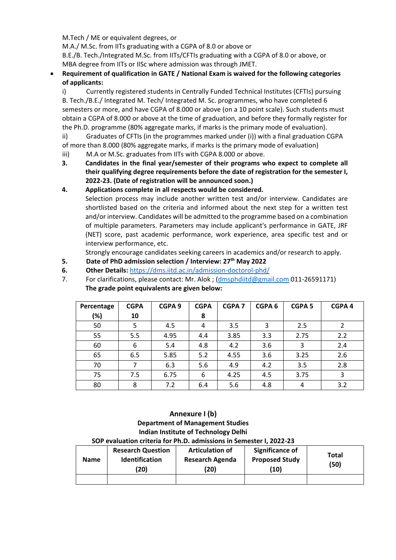M.Tech / ME or equivalent degrees, or

M.A./ M.Sc. from IITs graduating with a CGPA of 8.0 or above or

B.E./B. Tech./Integrated M.Sc. from IITs/CFTIs graduating with a CGPA of 8.0 or above, or MBA degree from IITs or IISc where admission was through JMET.

 **Requirement of qualification in GATE / National Exam is waived for the following categories of applicants:**

i) Currently registered students in Centrally Funded Technical Institutes (CFTIs) pursuing B. Tech./B.E./ Integrated M. Tech/ Integrated M. Sc. programmes, who have completed 6 semesters or more, and have CGPA of 8.000 or above (on a 10 point scale). Such students must obtain a CGPA of 8.000 or above at the time of graduation, and before they formally register for the Ph.D. programme (80% aggregate marks, if marks is the primary mode of evaluation).

ii) Graduates of CFTIs (in the programmes marked under (i)) with a final graduation CGPA of more than 8.000 (80% aggregate marks, if marks is the primary mode of evaluation)

- iii) M.A or M.Sc. graduates from IITs with CGPA 8.000 or above.
- **3. Candidates in the final year/semester of their programs who expect to complete all their qualifying degree requirements before the date of registration for the semester I, 2022-23. (Date of registration will be announced soon.)**
- **4. Applications complete in all respects would be considered.**

Selection process may include another written test and/or interview. Candidates are shortlisted based on the criteria and informed about the next step for a written test and/or interview. Candidates will be admitted to the programme based on a combination of multiple parameters. Parameters may include applicant's performance in GATE, JRF (NET) score, past academic performance, work experience, area specific test and or interview performance, etc.

Strongly encourage candidates seeking careers in academics and/or research to apply.

- **5. Date of PhD admission selection / Interview: 27th May 2022**
- **6. Other Details:** <https://dms.iitd.ac.in/admission-doctorol-phd/>
- 7. For clarifications, please contact: Mr. Alok ; [\(dmsphdiitd@gmail.com](mailto:dmsphdiitd@gmail.com) 011-26591171) **The grade point equivalents are given below:**

| Percentage | <b>CGPA</b> | CGPA <sub>9</sub> | <b>CGPA</b> | CGPA 7 | CGPA <sub>6</sub> | <b>CGPA 5</b> | CGPA 4 |
|------------|-------------|-------------------|-------------|--------|-------------------|---------------|--------|
| (%)        | 10          |                   | 8           |        |                   |               |        |
| 50         | 5           | 4.5               | 4           | 3.5    | 3                 | 2.5           | 2      |
| 55         | 5.5         | 4.95              | 4.4         | 3.85   | 3.3               | 2.75          | 2.2    |
| 60         | 6           | 5.4               | 4.8         | 4.2    | 3.6               | 3             | 2.4    |
| 65         | 6.5         | 5.85              | 5.2         | 4.55   | 3.6               | 3.25          | 2.6    |
| 70         | 7           | 6.3               | 5.6         | 4.9    | 4.2               | 3.5           | 2.8    |
| 75         | 7.5         | 6.75              | 6           | 4.25   | 4.5               | 3.75          | 3      |
| 80         | 8           | 7.2               | 6.4         | 5.6    | 4.8               | 4             | 3.2    |

#### **Annexure I (b) Department of Management Studies Indian Institute of Technology Delhi SOP evaluation criteria for Ph.D. admissions in Semester I, 2022-23**

| <b>Name</b> | <b>Research Question</b><br><b>Identification</b><br>(20) | <b>Articulation of</b><br><b>Research Agenda</b><br>(20) | <b>Significance of</b><br><b>Proposed Study</b><br>(10) | Total<br>(50) |
|-------------|-----------------------------------------------------------|----------------------------------------------------------|---------------------------------------------------------|---------------|
|             |                                                           |                                                          |                                                         |               |